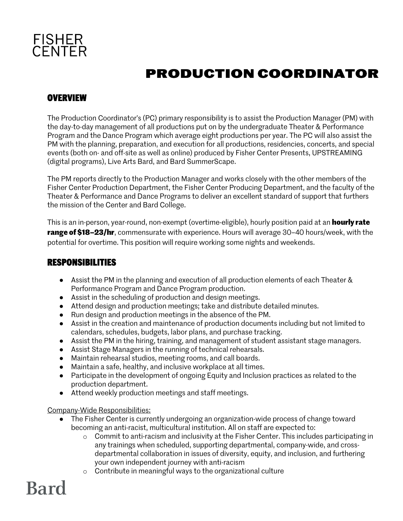

## **PRODUCTION COORDINATOR**

#### **OVERVIEW**

The Production Coordinator's (PC) primary responsibility is to assist the Production Manager (PM) with the day-to-day management of all productions put on by the undergraduate Theater & Performance Program and the Dance Program which average eight productions per year. The PC will also assist the PM with the planning, preparation, and execution for all productions, residencies, concerts, and special events (both on- and off-site as well as online) produced by Fisher Center Presents, UPSTREAMING (digital programs), Live Arts Bard, and Bard SummerScape.

The PM reports directly to the Production Manager and works closely with the other members of the Fisher Center Production Department, the Fisher Center Producing Department, and the faculty of the Theater & Performance and Dance Programs to deliver an excellent standard of support that furthers the mission of the Center and Bard College.

This is an in-person, year-round, non-exempt (overtime-eligible), hourly position paid at an **hourly rate range of \$18–23/hr**, commensurate with experience. Hours will average 30–40 hours/week, with the potential for overtime. This position will require working some nights and weekends.

#### **RESPONSIBILITIES**

- Assist the PM in the planning and execution of all production elements of each Theater & Performance Program and Dance Program production.
- Assist in the scheduling of production and design meetings.
- Attend design and production meetings; take and distribute detailed minutes.
- Run design and production meetings in the absence of the PM.
- Assist in the creation and maintenance of production documents including but not limited to calendars, schedules, budgets, labor plans, and purchase tracking.
- Assist the PM in the hiring, training, and management of student assistant stage managers.
- Assist Stage Managers in the running of technical rehearsals.
- Maintain rehearsal studios, meeting rooms, and call boards.
- Maintain a safe, healthy, and inclusive workplace at all times.
- Participate in the development of ongoing Equity and Inclusion practices as related to the production department.
- Attend weekly production meetings and staff meetings.

#### Company-Wide Responsibilities:

**Bard** 

- The Fisher Center is currently undergoing an organization-wide process of change toward becoming an anti-racist, multicultural institution. All on staff are expected to:
	- o Commit to anti-racism and inclusivity at the Fisher Center. This includes participating in any trainings when scheduled, supporting departmental, company-wide, and crossdepartmental collaboration in issues of diversity, equity, and inclusion, and furthering your own independent journey with anti-racism
	- o Contribute in meaningful ways to the organizational culture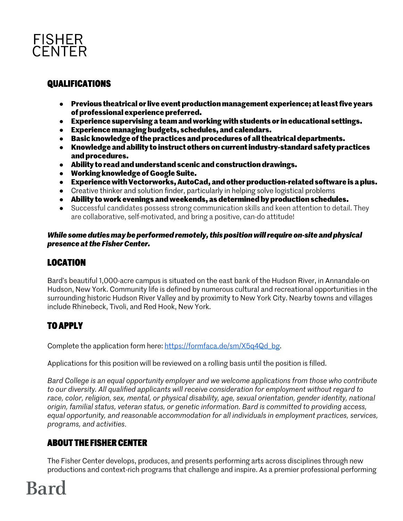

#### **QUALIFICATIONS**

- **Previous theatrical or live event production management experience; at least five years of professional experience preferred.**
- **Experience supervising a team and working with students or in educational settings.**
- **Experience managing budgets, schedules, and calendars.**
- **Basic knowledge of the practices and procedures of all theatrical departments.**
- **Knowledge and ability to instruct others on current industry-standard safety practices and procedures.**
- **Ability to read and understand scenic and construction drawings.**
- **Working knowledge of Google Suite.**
- **Experience with Vectorworks, AutoCad, and other production-related software is a plus.**
- Creative thinker and solution finder, particularly in helping solve logistical problems
- **Ability to work evenings and weekends, as determined by production schedules.**
- Successful candidates possess strong communication skills and keen attention to detail. They are collaborative, self-motivated, and bring a positive, can-do attitude!

#### *While some duties may be performed remotely, this position will require on-site and physical presence at the Fisher Center.*

## **LOCATION**

Bard's beautiful 1,000-acre campus is situated on the east bank of the Hudson River, in Annandale-on Hudson, New York. Community life is defined by numerous cultural and recreational opportunities in the surrounding historic Hudson River Valley and by proximity to New York City. Nearby towns and villages include Rhinebeck, Tivoli, and Red Hook, New York.

## **TO APPLY**

Complete the application form here: https://formfaca.de/sm/X5q4Qd\_bg.

Applications for this position will be reviewed on a rolling basis until the position is filled.

*Bard College is an equal opportunity employer and we welcome applications from those who contribute to our diversity. All qualified applicants will receive consideration for employment without regard to race, color, religion, sex, mental, or physical disability, age, sexual orientation, gender identity, national origin, familial status, veteran status, or genetic information. Bard is committed to providing access, equal opportunity, and reasonable accommodation for all individuals in employment practices, services, programs, and activities.*

#### **ABOUT THE FISHER CENTER**

The Fisher Center develops, produces, and presents performing arts across disciplines through new productions and context-rich programs that challenge and inspire. As a premier professional performing

# **Bard**